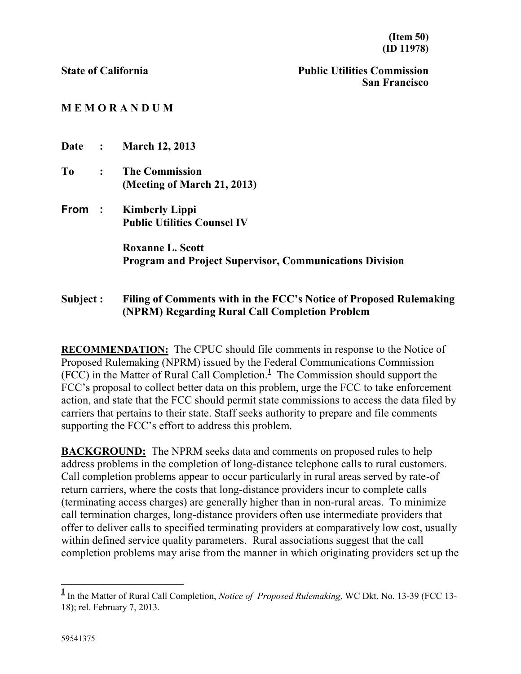**State of California Public Utilities Commission San Francisco**

## **M E M O R A N D U M**

| Date : |                | <b>March 12, 2013</b>                                                                     |
|--------|----------------|-------------------------------------------------------------------------------------------|
| To     | $\ddot{\cdot}$ | <b>The Commission</b><br>(Meeting of March 21, 2013)                                      |
| From : |                | <b>Kimberly Lippi</b><br><b>Public Utilities Counsel IV</b>                               |
|        |                | <b>Roxanne L. Scott</b><br><b>Program and Project Supervisor, Communications Division</b> |

## **Subject : Filing of Comments with in the FCC's Notice of Proposed Rulemaking (NPRM) Regarding Rural Call Completion Problem**

**RECOMMENDATION:** The CPUC should file comments in response to the Notice of Proposed Rulemaking (NPRM) issued by the Federal Communications Commission (FCC) in the Matter of Rural Call Completion. **1** The Commission should support the FCC's proposal to collect better data on this problem, urge the FCC to take enforcement action, and state that the FCC should permit state commissions to access the data filed by carriers that pertains to their state. Staff seeks authority to prepare and file comments supporting the FCC's effort to address this problem.

**BACKGROUND:** The NPRM seeks data and comments on proposed rules to help address problems in the completion of long-distance telephone calls to rural customers. Call completion problems appear to occur particularly in rural areas served by rate-of return carriers, where the costs that long-distance providers incur to complete calls (terminating access charges) are generally higher than in non-rural areas. To minimize call termination charges, long-distance providers often use intermediate providers that offer to deliver calls to specified terminating providers at comparatively low cost, usually within defined service quality parameters. Rural associations suggest that the call completion problems may arise from the manner in which originating providers set up the

 $\overline{a}$ 

**<sup>1</sup>** In the Matter of Rural Call Completion, *Notice of Proposed Rulemaking*, WC Dkt. No. 13-39 (FCC 13- 18); rel. February 7, 2013.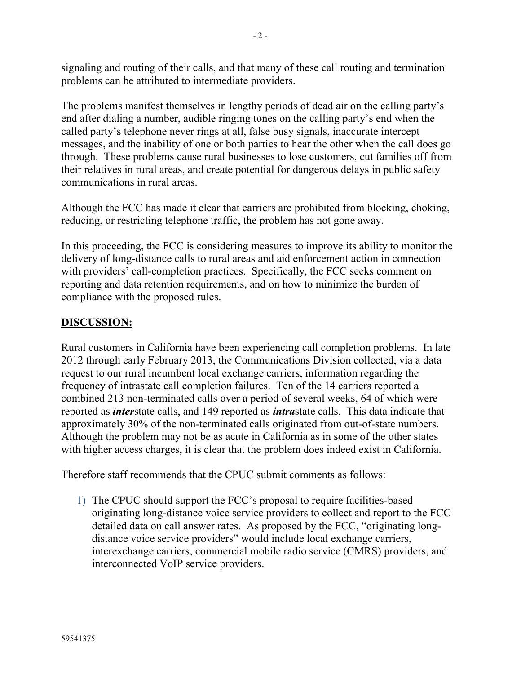signaling and routing of their calls, and that many of these call routing and termination problems can be attributed to intermediate providers.

The problems manifest themselves in lengthy periods of dead air on the calling party's end after dialing a number, audible ringing tones on the calling party's end when the called party's telephone never rings at all, false busy signals, inaccurate intercept messages, and the inability of one or both parties to hear the other when the call does go through. These problems cause rural businesses to lose customers, cut families off from their relatives in rural areas, and create potential for dangerous delays in public safety communications in rural areas.

Although the FCC has made it clear that carriers are prohibited from blocking, choking, reducing, or restricting telephone traffic, the problem has not gone away.

In this proceeding, the FCC is considering measures to improve its ability to monitor the delivery of long-distance calls to rural areas and aid enforcement action in connection with providers' call-completion practices. Specifically, the FCC seeks comment on reporting and data retention requirements, and on how to minimize the burden of compliance with the proposed rules.

## **DISCUSSION:**

Rural customers in California have been experiencing call completion problems. In late 2012 through early February 2013, the Communications Division collected, via a data request to our rural incumbent local exchange carriers, information regarding the frequency of intrastate call completion failures. Ten of the 14 carriers reported a combined 213 non-terminated calls over a period of several weeks, 64 of which were reported as *inter*state calls, and 149 reported as *intra*state calls. This data indicate that approximately 30% of the non-terminated calls originated from out-of-state numbers. Although the problem may not be as acute in California as in some of the other states with higher access charges, it is clear that the problem does indeed exist in California.

Therefore staff recommends that the CPUC submit comments as follows:

1) The CPUC should support the FCC's proposal to require facilities-based originating long-distance voice service providers to collect and report to the FCC detailed data on call answer rates. As proposed by the FCC, "originating longdistance voice service providers" would include local exchange carriers, interexchange carriers, commercial mobile radio service (CMRS) providers, and interconnected VoIP service providers.